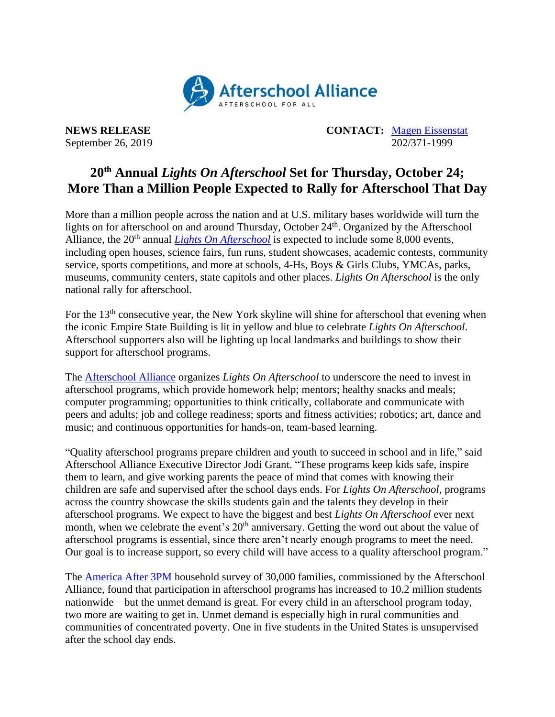

**NEWS RELEASE CONTACT:** [Magen Eissenstat](mailto:magen@prsolutionsdc.com) September 26, 2019 202/371-1999

## **20th Annual** *Lights On Afterschool* **Set for Thursday, October 24; More Than a Million People Expected to Rally for Afterschool That Day**

More than a million people across the nation and at U.S. military bases worldwide will turn the lights on for afterschool on and around Thursday, October 24<sup>th</sup>. Organized by the Afterschool Alliance, the 20<sup>th</sup> annual *[Lights On Afterschool](http://www.afterschoolalliance.org/loa.cfm)* is expected to include some 8,000 events, including open houses, science fairs, fun runs, student showcases, academic contests, community service, sports competitions, and more at schools, 4-Hs, Boys & Girls Clubs, YMCAs, parks, museums, community centers, state capitols and other places. *Lights On Afterschool* is the only national rally for afterschool.

For the 13<sup>th</sup> consecutive year, the New York skyline will shine for afterschool that evening when the iconic Empire State Building is lit in yellow and blue to celebrate *Lights On Afterschool*. Afterschool supporters also will be lighting up local landmarks and buildings to show their support for afterschool programs.

The [Afterschool Alliance](http://www.afterschoolalliance.org/) organizes *Lights On Afterschool* to underscore the need to invest in afterschool programs, which provide homework help; mentors; healthy snacks and meals; computer programming; opportunities to think critically, collaborate and communicate with peers and adults; job and college readiness; sports and fitness activities; robotics; art, dance and music; and continuous opportunities for hands-on, team-based learning.

"Quality afterschool programs prepare children and youth to succeed in school and in life," said Afterschool Alliance Executive Director Jodi Grant. "These programs keep kids safe, inspire them to learn, and give working parents the peace of mind that comes with knowing their children are safe and supervised after the school days ends. For *Lights On Afterschool,* programs across the country showcase the skills students gain and the talents they develop in their afterschool programs. We expect to have the biggest and best *Lights On Afterschool* ever next month, when we celebrate the event's 20<sup>th</sup> anniversary. Getting the word out about the value of afterschool programs is essential, since there aren't nearly enough programs to meet the need. Our goal is to increase support, so every child will have access to a quality afterschool program."

The [America After 3PM](http://www.afterschoolalliance.org/AA3PM/) household survey of 30,000 families, commissioned by the Afterschool Alliance, found that participation in afterschool programs has increased to 10.2 million students nationwide – but the unmet demand is great. For every child in an afterschool program today, two more are waiting to get in. Unmet demand is especially high in rural communities and communities of concentrated poverty. One in five students in the United States is unsupervised after the school day ends.